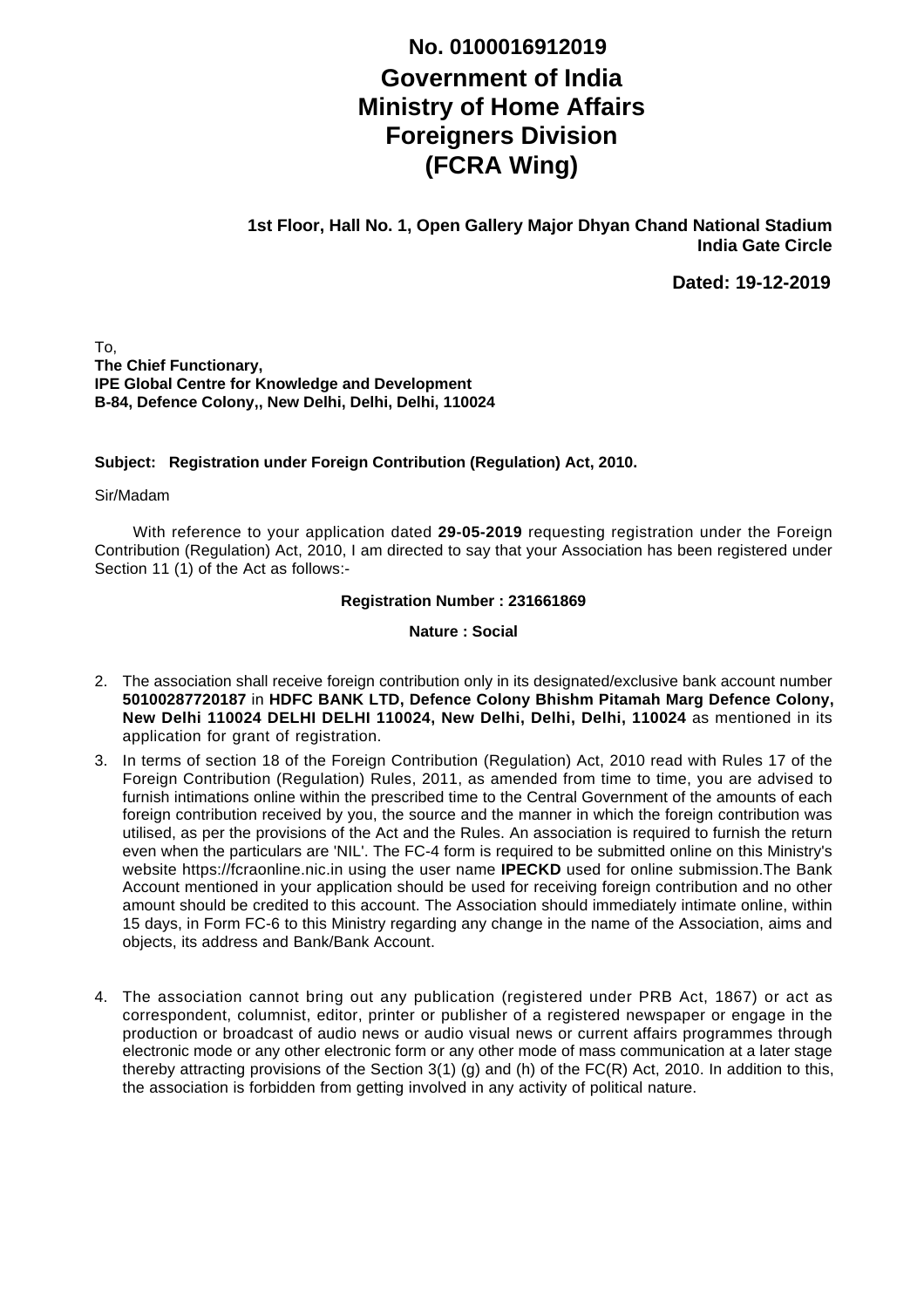## **Government of India Ministry of Home Affairs Foreigners Division (FCRA Wing) No. 0100016912019**

**1st Floor, Hall No. 1, Open Gallery Major Dhyan Chand National Stadium India Gate Circle**

**Dated: 19-12-2019**

To, **The Chief Functionary, IPE Global Centre for Knowledge and Development B-84, Defence Colony,, New Delhi, Delhi, Delhi, 110024**

## **Subject: Registration under Foreign Contribution (Regulation) Act, 2010.**

Sir/Madam

 With reference to your application dated **29-05-2019** requesting registration under the Foreign Contribution (Regulation) Act, 2010, I am directed to say that your Association has been registered under Section 11 (1) of the Act as follows:-

**Registration Number : 231661869**

**Nature : Social**

- 2. The association shall receive foreign contribution only in its designated/exclusive bank account number **50100287720187** in **HDFC BANK LTD, Defence Colony Bhishm Pitamah Marg Defence Colony, New Delhi 110024 DELHI DELHI 110024, New Delhi, Delhi, Delhi, 110024** as mentioned in its application for grant of registration.
- 3. In terms of section 18 of the Foreign Contribution (Regulation) Act, 2010 read with Rules 17 of the Foreign Contribution (Regulation) Rules, 2011, as amended from time to time, you are advised to furnish intimations online within the prescribed time to the Central Government of the amounts of each foreign contribution received by you, the source and the manner in which the foreign contribution was utilised, as per the provisions of the Act and the Rules. An association is required to furnish the return even when the particulars are 'NIL'. The FC-4 form is required to be submitted online on this Ministry's website https://fcraonline.nic.in using the user name **IPECKD** used for online submission.The Bank Account mentioned in your application should be used for receiving foreign contribution and no other amount should be credited to this account. The Association should immediately intimate online, within 15 days, in Form FC-6 to this Ministry regarding any change in the name of the Association, aims and objects, its address and Bank/Bank Account.
- 4. The association cannot bring out any publication (registered under PRB Act, 1867) or act as correspondent, columnist, editor, printer or publisher of a registered newspaper or engage in the production or broadcast of audio news or audio visual news or current affairs programmes through electronic mode or any other electronic form or any other mode of mass communication at a later stage thereby attracting provisions of the Section 3(1) (g) and (h) of the FC(R) Act, 2010. In addition to this, the association is forbidden from getting involved in any activity of political nature.